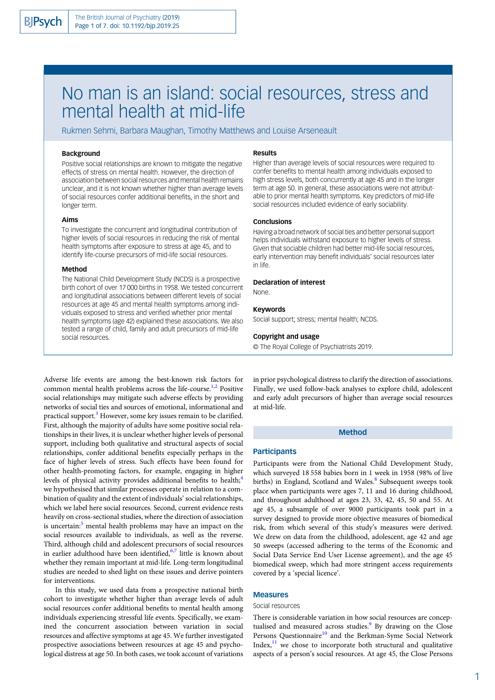# No man is an island: social resources, stress and mental health at mid-life

Rukmen Sehmi, Barbara Maughan, Timothy Matthews and Louise Arseneault

# Background

Positive social relationships are known to mitigate the negative effects of stress on mental health. However, the direction of association between social resources and mental health remains unclear, and it is not known whether higher than average levels of social resources confer additional benefits, in the short and longer term.

#### Aims

To investigate the concurrent and longitudinal contribution of higher levels of social resources in reducing the risk of mental health symptoms after exposure to stress at age 45, and to identify life-course precursors of mid-life social resources.

# Method

The National Child Development Study (NCDS) is a prospective birth cohort of over 17 000 births in 1958. We tested concurrent and longitudinal associations between different levels of social resources at age 45 and mental health symptoms among individuals exposed to stress and verified whether prior mental health symptoms (age 42) explained these associations. We also tested a range of child, family and adult precursors of mid-life social resources.

#### Results

Higher than average levels of social resources were required to confer benefits to mental health among individuals exposed to high stress levels, both concurrently at age 45 and in the longer term at age 50. In general, these associations were not attributable to prior mental health symptoms. Key predictors of mid-life social resources included evidence of early sociability.

# **Conclusions**

Having a broad network of social ties and better personal support helps individuals withstand exposure to higher levels of stress. Given that sociable children had better mid-life social resources, early intervention may benefit individuals' social resources later in life.

#### Declaration of interest

None.

#### Keywords

Social support; stress; mental health; NCDS.

#### Copyright and usage

© The Royal College of Psychiatrists 2019.

Adverse life events are among the best-known risk factors for common mental health problems across the life-course.<sup>[1](#page-5-0),[2](#page-5-0)</sup> Positive social relationships may mitigate such adverse effects by providing networks of social ties and sources of emotional, informational and practical support.<sup>[3](#page-5-0)</sup> However, some key issues remain to be clarified. First, although the majority of adults have some positive social relationships in their lives, it is unclear whether higher levels of personal support, including both qualitative and structural aspects of social relationships, confer additional benefits especially perhaps in the face of higher levels of stress. Such effects have been found for other health-promoting factors, for example, engaging in higher levels of physical activity provides additional benefits to health; $4$ we hypothesised that similar processes operate in relation to a combination of quality and the extent of individuals' social relationships, which we label here social resources. Second, current evidence rests heavily on cross-sectional studies, where the direction of association is uncertain:<sup>[5](#page-5-0)</sup> mental health problems may have an impact on the social resources available to individuals, as well as the reverse. Third, although child and adolescent precursors of social resources in earlier adulthood have been identified,  $6,7$  $6,7$  $6,7$  little is known about whether they remain important at mid-life. Long-term longitudinal studies are needed to shed light on these issues and derive pointers for interventions.

In this study, we used data from a prospective national birth cohort to investigate whether higher than average levels of adult social resources confer additional benefits to mental health among individuals experiencing stressful life events. Specifically, we examined the concurrent association between variation in social resources and affective symptoms at age 45. We further investigated prospective associations between resources at age 45 and psychological distress at age 50. In both cases, we took account of variations

in prior psychological distress to clarify the direction of associations. Finally, we used follow-back analyses to explore child, adolescent and early adult precursors of higher than average social resources at mid-life.

#### Method

#### **Participants**

Participants were from the National Child Development Study, which surveyed 18 558 babies born in 1 week in 1958 (98% of live births) in England, Scotland and Wales.<sup>[8](#page-5-0)</sup> Subsequent sweeps took place when participants were ages 7, 11 and 16 during childhood, and throughout adulthood at ages 23, 33, 42, 45, 50 and 55. At age 45, a subsample of over 9000 participants took part in a survey designed to provide more objective measures of biomedical risk, from which several of this study's measures were derived. We drew on data from the childhood, adolescent, age 42 and age 50 sweeps (accessed adhering to the terms of the Economic and Social Data Service End User License agreement), and the age 45 biomedical sweep, which had more stringent access requirements covered by a 'special licence'.

#### Measures

#### Social resources

There is considerable variation in how social resources are concep-tualised and measured across studies.<sup>[9](#page-5-0)</sup> By drawing on the Close Persons Questionnaire<sup>[10](#page-5-0)</sup> and the Berkman-Syme Social Network Index, $11$  we chose to incorporate both structural and qualitative aspects of a person's social resources. At age 45, the Close Persons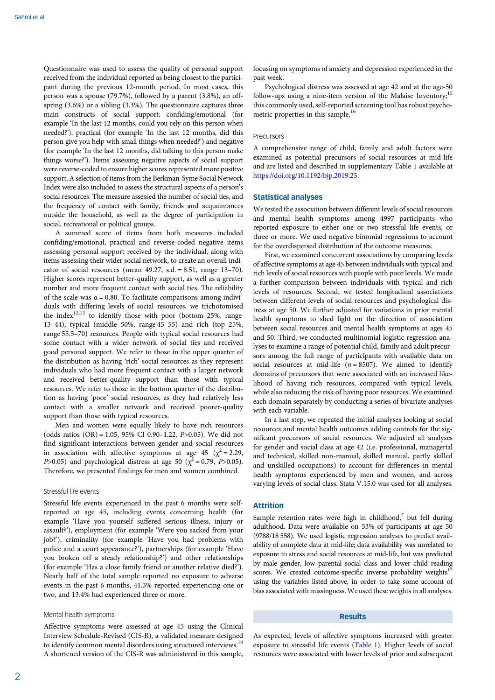Questionnaire was used to assess the quality of personal support received from the individual reported as being closest to the participant during the previous 12-month period. In most cases, this person was a spouse (79.7%), followed by a parent (3.8%), an offspring (3.6%) or a sibling (3.3%). The questionnaire captures three main constructs of social support: confiding/emotional (for example 'In the last 12 months, could you rely on this person when needed?'), practical (for example 'In the last 12 months, did this person give you help with small things when needed?') and negative (for example 'In the last 12 months, did talking to this person make things worse?'). Items assessing negative aspects of social support were reverse-coded to ensure higher scores represented more positive support. A selection of items from the Berkman-Syme Social Network Index were also included to assess the structural aspects of a person's social resources. The measure assessed the number of social ties, and the frequency of contact with family, friends and acquaintances outside the household, as well as the degree of participation in social, recreational or political groups.

A summed score of items from both measures included confiding/emotional, practical and reverse-coded negative items assessing personal support received by the individual, along with items assessing their wider social network, to create an overall indicator of social resources (mean  $49.27$ , s.d.  $= 8.51$ , range  $13-70$ ). Higher scores represent better-quality support, as well as a greater number and more frequent contact with social ties. The reliability of the scale was  $\alpha = 0.80$ . To facilitate comparisons among individuals with differing levels of social resources, we trichotomised the index $12,13$  $12,13$  $12,13$  to identify those with poor (bottom 25%, range 13–44), typical (middle 50%, range 45–55) and rich (top 25%, range 55.5–70) resources. People with typical social resources had some contact with a wider network of social ties and received good personal support. We refer to those in the upper quarter of the distribution as having 'rich' social resources as they represent individuals who had more frequent contact with a larger network and received better-quality support than those with typical resources. We refer to those in the bottom quarter of the distribution as having 'poor' social resources, as they had relatively less contact with a smaller network and received poorer-quality support than those with typical resources.

Men and women were equally likely to have rich resources (odds ratios  $(OR) = 1.05$ , 95% CI 0.90-1.22, P>0.05). We did not find significant interactions between gender and social resources in association with affective symptoms at age 45 ( $\chi^2$  = 2.29, P>0.05) and psychological distress at age 50 ( $\chi^2$  = 0.79, P>0.05). Therefore, we presented findings for men and women combined.

#### Stressful life events

Stressful life events experienced in the past 6 months were selfreported at age 45, including events concerning health (for example 'Have you yourself suffered serious illness, injury or assault?'), employment (for example 'Were you sacked from your job?'), criminality (for example 'Have you had problems with police and a court appearance?'), partnerships (for example 'Have you broken off a steady relationship?') and other relationships (for example 'Has a close family friend or another relative died?'). Nearly half of the total sample reported no exposure to adverse events in the past 6 months, 41.3% reported experiencing one or two, and 13.4% had experienced three or more.

#### Mental health symptoms

Affective symptoms were assessed at age 45 using the Clinical Interview Schedule-Revised (CIS-R), a validated measure designed to identify common mental disorders using structured interviews. $14$ A shortened version of the CIS-R was administered in this sample, focusing on symptoms of anxiety and depression experienced in the past week.

Psychological distress was assessed at age 42 and at the age-50 follow-ups using a nine-item version of the Malaise Inventory;<sup>[15](#page-5-0)</sup> this commonly used, self-reported screening tool has robust psycho-metric properties in this sample.<sup>[16](#page-5-0)</sup>

#### **Precursors**

A comprehensive range of child, family and adult factors were examined as potential precursors of social resources at mid-life and are listed and described in supplementary Table 1 available at [https://doi.org/10.1192/bjp.2019.25.](https://doi.org/10.1192/bjp.2019.25)

#### Statistical analyses

We tested the association between different levels of social resources and mental health symptoms among 4997 participants who reported exposure to either one or two stressful life events, or three or more. We used negative binomial regressions to account for the overdispersed distribution of the outcome measures.

First, we examined concurrent associations by comparing levels of affective symptoms at age 45 between individuals with typical and rich levels of social resources with people with poor levels. We made a further comparison between individuals with typical and rich levels of resources. Second, we tested longitudinal associations between different levels of social resources and psychological distress at age 50. We further adjusted for variations in prior mental health symptoms to shed light on the direction of association between social resources and mental health symptoms at ages 45 and 50. Third, we conducted multinomial logistic regression analyses to examine a range of potential child, family and adult precursors among the full range of participants with available data on social resources at mid-life ( $n = 8507$ ). We aimed to identify domains of precursors that were associated with an increased likelihood of having rich resources, compared with typical levels, while also reducing the risk of having poor resources. We examined each domain separately by conducting a series of bivariate analyses with each variable.

In a last step, we repeated the initial analyses looking at social resources and mental health outcomes adding controls for the significant precursors of social resources. We adjusted all analyses for gender and social class at age 42 (i.e. professional, managerial and technical, skilled non-manual, skilled manual, partly skilled and unskilled occupations) to account for differences in mental health symptoms experienced by men and women, and across varying levels of social class. Stata V.15.0 was used for all analyses.

## Attrition

Sample retention rates were high in childhood, $\frac{7}{7}$  $\frac{7}{7}$  $\frac{7}{7}$  but fell during adulthood. Data were available on 53% of participants at age 50 (9788/18 558). We used logistic regression analyses to predict availability of complete data at mid-life; data availability was unrelated to exposure to stress and social resources at mid-life, but was predicted by male gender, low parental social class and lower child reading scores. We created outcome-specific inverse probability weights<sup>17</sup> using the variables listed above, in order to take some account of bias associated with missingness.We used these weights in all analyses.

# Results

As expected, levels of affective symptoms increased with greater exposure to stressful life events ([Table 1](#page-2-0)). Higher levels of social resources were associated with lower levels of prior and subsequent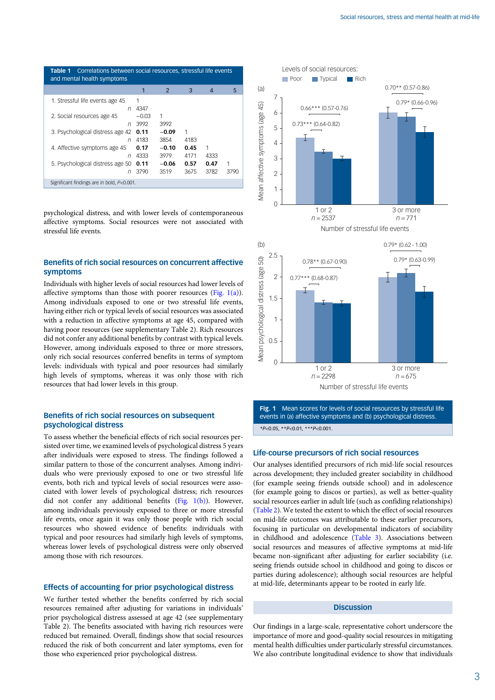<span id="page-2-0"></span>

| Correlations between social resources, stressful life events<br>Table 1<br>and mental health symptoms |         |               |      |      |      |  |  |  |
|-------------------------------------------------------------------------------------------------------|---------|---------------|------|------|------|--|--|--|
|                                                                                                       | 1       | $\mathcal{P}$ | 3    | 4    | 5    |  |  |  |
| 1. Stressful life events age 45                                                                       | 1       |               |      |      |      |  |  |  |
| n                                                                                                     | 4347    |               |      |      |      |  |  |  |
| 2. Social resources age 45                                                                            | $-0.03$ | 1             |      |      |      |  |  |  |
| n                                                                                                     | 3992    | 3992          |      |      |      |  |  |  |
| 3. Psychological distress age 42                                                                      | 0.11    | $-0.09$       | 1    |      |      |  |  |  |
| n                                                                                                     | 4183    | 3854          | 4183 |      |      |  |  |  |
| 4. Affective symptoms age 45                                                                          | 0.17    | $-0.10$       | 0.45 | 1    |      |  |  |  |
| n                                                                                                     | 4333    | 3979          | 4171 | 4333 |      |  |  |  |
| 5. Psychological distress age 50                                                                      | 0.11    | $-0.06$       | 0.57 | 0.47 | 1    |  |  |  |
| n                                                                                                     | 3790    | 3519          | 3675 | 3782 | 3790 |  |  |  |
| Significant findings are in bold, P<0.001.                                                            |         |               |      |      |      |  |  |  |

psychological distress, and with lower levels of contemporaneous affective symptoms. Social resources were not associated with stressful life events.

# Benefits of rich social resources on concurrent affective symptoms

Individuals with higher levels of social resources had lower levels of affective symptoms than those with poorer resources (Fig. 1(a)). Among individuals exposed to one or two stressful life events, having either rich or typical levels of social resources was associated with a reduction in affective symptoms at age 45, compared with having poor resources (see supplementary Table 2). Rich resources did not confer any additional benefits by contrast with typical levels. However, among individuals exposed to three or more stressors, only rich social resources conferred benefits in terms of symptom levels: individuals with typical and poor resources had similarly high levels of symptoms, whereas it was only those with rich resources that had lower levels in this group.

# Benefits of rich social resources on subsequent psychological distress

To assess whether the beneficial effects of rich social resources persisted over time, we examined levels of psychological distress 5 years after individuals were exposed to stress. The findings followed a similar pattern to those of the concurrent analyses. Among individuals who were previously exposed to one or two stressful life events, both rich and typical levels of social resources were associated with lower levels of psychological distress; rich resources did not confer any additional benefits (Fig. 1(b)). However, among individuals previously exposed to three or more stressful life events, once again it was only those people with rich social resources who showed evidence of benefits: individuals with typical and poor resources had similarly high levels of symptoms, whereas lower levels of psychological distress were only observed among those with rich resources.

# Effects of accounting for prior psychological distress

We further tested whether the benefits conferred by rich social resources remained after adjusting for variations in individuals' prior psychological distress assessed at age 42 (see supplementary Table 2). The benefits associated with having rich resources were reduced but remained. Overall, findings show that social resources reduced the risk of both concurrent and later symptoms, even for those who experienced prior psychological distress.



Fig. 1 Mean scores for levels of social resources by stressful life events in (a) affective symptoms and (b) psychological distress.  $*P<0.05$ ,  $*P<0.01$ ,  $**P<0.001$ .

# Life-course precursors of rich social resources

Our analyses identified precursors of rich mid-life social resources across development; they included greater sociability in childhood (for example seeing friends outside school) and in adolescence (for example going to discos or parties), as well as better-quality social resources earlier in adult life (such as confiding relationships) ([Table 2\)](#page-3-0). We tested the extent to which the effect of social resources on mid-life outcomes was attributable to these earlier precursors, focusing in particular on developmental indicators of sociability in childhood and adolescence [\(Table 3](#page-3-0)). Associations between social resources and measures of affective symptoms at mid-life became non-significant after adjusting for earlier sociability (i.e. seeing friends outside school in childhood and going to discos or parties during adolescence); although social resources are helpful at mid-life, determinants appear to be rooted in early life.

# **Discussion**

Our findings in a large-scale, representative cohort underscore the importance of more and good-quality social resources in mitigating mental health difficulties under particularly stressful circumstances. We also contribute longitudinal evidence to show that individuals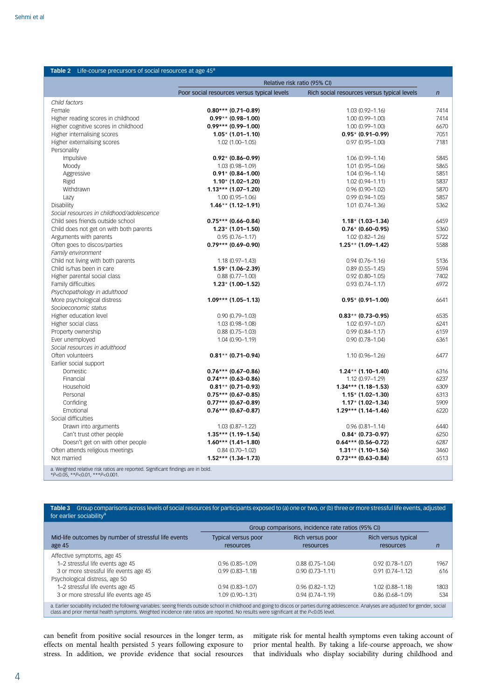<span id="page-3-0"></span>

| <b>Table 2</b> Life-course precursors of social resources at age 45 <sup>a</sup>                                   |                                             |                                             |              |  |
|--------------------------------------------------------------------------------------------------------------------|---------------------------------------------|---------------------------------------------|--------------|--|
|                                                                                                                    | Relative risk ratio (95% CI)                |                                             |              |  |
|                                                                                                                    | Poor social resources versus typical levels | Rich social resources versus typical levels | $\mathsf{n}$ |  |
| Child factors                                                                                                      |                                             |                                             |              |  |
| Female                                                                                                             | $0.80***$ (0.71-0.89)                       | $1.03(0.92 - 1.16)$                         | 7414         |  |
| Higher reading scores in childhood                                                                                 | $0.99**$ (0.98-1.00)                        | $1.00(0.99 - 1.00)$                         | 7414         |  |
| Higher cognitive scores in childhood                                                                               | $0.99***$ (0.99-1.00)                       | $1.00(0.99 - 1.00)$                         | 6670         |  |
| Higher internalising scores                                                                                        | $1.05*$ (1.01-1.10)                         | $0.95* (0.91-0.99)$                         | 7051         |  |
| Higher externalising scores                                                                                        | $1.02(1.00 - 1.05)$                         | $0.97(0.95 - 1.00)$                         | 7181         |  |
| Personality                                                                                                        |                                             |                                             |              |  |
| Impulsive                                                                                                          | $0.92* (0.86 - 0.99)$                       | 1.06 (0.99-1.14)                            | 5845         |  |
| Moody                                                                                                              | $1.03(0.98 - 1.09)$                         | $1.01(0.95 - 1.06)$                         | 5865         |  |
| Aggressive                                                                                                         | $0.91$ * (0.84-1.00)                        | $1.04(0.96 - 1.14)$                         | 5851         |  |
| Rigid                                                                                                              | $1.10*$ (1.02-1.20)                         | $1.02(0.94 - 1.11)$                         | 5837         |  |
| Withdrawn                                                                                                          | $1.13***$ (1.07-1.20)                       | $0.96(0.90 - 1.02)$                         | 5870         |  |
| Lazy                                                                                                               | $1.00(0.95 - 1.06)$                         | $0.99(0.94 - 1.05)$                         | 5857         |  |
| <b>Disability</b>                                                                                                  | $1.46**$ (1.12-1.91)                        | $1.01$ (0.74-1.36)                          | 5362         |  |
| Social resources in childhood/adolescence                                                                          |                                             |                                             |              |  |
| Child sees friends outside school                                                                                  | $0.75***$ (0.66-0.84)                       | $1.18* (1.03 - 1.34)$                       | 6459         |  |
| Child does not get on with both parents                                                                            | $1.23$ * (1.01–1.50)                        | $0.76* (0.60-0.95)$                         | 5360         |  |
| Arguments with parents                                                                                             | $0.95(0.76 - 1.17)$                         | $1.02(0.82 - 1.26)$                         | 5722         |  |
| Often goes to discos/parties                                                                                       | $0.79***$ (0.69-0.90)                       | $1.25**$ (1.09-1.42)                        | 5588         |  |
| Family environment                                                                                                 |                                             |                                             |              |  |
| Child not living with both parents                                                                                 | $1.18(0.97 - 1.43)$                         | $0.94(0.76 - 1.16)$                         | 5136         |  |
| Child is/has been in care                                                                                          | $1.59*$ (1.06-2.39)                         | $0.89(0.55 - 1.45)$                         | 5594         |  |
| Higher parental social class                                                                                       | $0.88(0.77 - 1.00)$                         | $0.92$ (0.80-1.05)                          | 7402         |  |
| Family difficulties                                                                                                | $1.23$ * (1.00-1.52)                        | $0.93(0.74 - 1.17)$                         | 6972         |  |
| Psychopathology in adulthood                                                                                       |                                             |                                             |              |  |
| More psychological distress                                                                                        | $1.09***$ (1.05-1.13)                       | $0.95* (0.91-1.00)$                         | 6641         |  |
| Socioeconomic status                                                                                               |                                             |                                             |              |  |
| Higher education level                                                                                             | $0.90(0.79 - 1.03)$                         | $0.83**$ (0.73-0.95)                        | 6535         |  |
| Higher social class                                                                                                | 1.03 (0.98-1.08)                            | $1.02(0.97 - 1.07)$                         | 6241         |  |
| Property ownership                                                                                                 | $0.88(0.75 - 1.03)$                         | $0.99(0.84 - 1.17)$                         | 6159         |  |
| Ever unemployed                                                                                                    | $1.04(0.90 - 1.19)$                         | $0.90(0.78 - 1.04)$                         | 6361         |  |
| Social resources in adulthood                                                                                      |                                             |                                             |              |  |
| Often volunteers                                                                                                   | $0.81**$ (0.71-0.94)                        | $1.10(0.96 - 1.26)$                         | 6477         |  |
| Earlier social support                                                                                             |                                             |                                             |              |  |
| Domestic                                                                                                           | $0.76***(0.67-0.86)$                        | $1.24**$ (1.10-1.40)                        | 6316         |  |
| Financial                                                                                                          | $0.74***$ (0.63-0.86)                       | $1.12(0.97 - 1.29)$                         | 6237         |  |
| Household                                                                                                          | $0.81**$ (0.71-0.93)                        | $1.34***$ (1.18-1.53)                       | 6309         |  |
| Personal                                                                                                           | $0.75***(0.67-0.85)$                        | $1.15* (1.02 - 1.30)$                       | 6313         |  |
| Confiding                                                                                                          | $0.77***$ (0.67-0.89)                       | $1.17*$ (1.02-1.34)                         | 5909         |  |
| Emotional                                                                                                          | $0.76***(0.67-0.87)$                        | $1.29***$ (1.14-1.46)                       | 6220         |  |
| Social difficulties                                                                                                |                                             |                                             |              |  |
| Drawn into arguments                                                                                               | $1.03(0.87 - 1.22)$                         | $0.96(0.81 - 1.14)$                         | 6440         |  |
| Can't trust other people                                                                                           | $1.35***$ (1.19-1.54)                       | $0.84* (0.73-0.97)$                         | 6250         |  |
| Doesn't get on with other people                                                                                   | $1.60***$ (1.41-1.80)                       | $0.64***$ (0.56-0.72)                       | 6287         |  |
| Often attends religious meetings                                                                                   | $0.84(0.70 - 1.02)$                         | $1.31**$ (1.10-1.56)                        | 3460         |  |
| Not married                                                                                                        | $1.52***$ (1.34-1.73)                       | $0.73***$ (0.63-0.84)                       | 6513         |  |
| a. Weighted relative risk ratios are reported. Significant findings are in bold.<br>*P<0.05, **P<0.01, ***P<0.001. |                                             |                                             |              |  |

# **Table 3** Group comparisons across levels of social resources for participants exposed to (a) one or two, or (b) three or more stressful life events, adjusted<br>for earlier sociability<sup>a</sup>

|                                                                                                                                                                                                                                                                                                                                          | Group comparisons, incidence rate ratios (95% CI) |                               |                                  |      |  |  |  |
|------------------------------------------------------------------------------------------------------------------------------------------------------------------------------------------------------------------------------------------------------------------------------------------------------------------------------------------|---------------------------------------------------|-------------------------------|----------------------------------|------|--|--|--|
| Mid-life outcomes by number of stressful life events<br>age 45                                                                                                                                                                                                                                                                           | <b>Typical versus poor</b><br>resources           | Rich versus poor<br>resources | Rich versus typical<br>resources | n    |  |  |  |
| Affective symptoms, age 45                                                                                                                                                                                                                                                                                                               |                                                   |                               |                                  |      |  |  |  |
| 1-2 stressful life events age 45                                                                                                                                                                                                                                                                                                         | $0.96(0.85 - 1.09)$                               | $0.88(0.75 - 1.04)$           | $0.92(0.78 - 1.07)$              | 1967 |  |  |  |
| 3 or more stressful life events age 45                                                                                                                                                                                                                                                                                                   | $0.99(0.83 - 1.18)$                               | $0.90(0.73 - 1.11)$           | $0.91(0.74 - 1.12)$              | 616  |  |  |  |
| Psychological distress, age 50                                                                                                                                                                                                                                                                                                           |                                                   |                               |                                  |      |  |  |  |
| 1-2 stressful life events age 45                                                                                                                                                                                                                                                                                                         | $0.94(0.83 - 1.07)$                               | $0.96(0.82 - 1.12)$           | $1.02(0.88 - 1.18)$              | 1803 |  |  |  |
| 3 or more stressful life events age 45                                                                                                                                                                                                                                                                                                   | 1.09 (0.90-1.31)                                  | $0.94(0.74 - 1.19)$           | $0.86(0.68 - 1.09)$              | 534  |  |  |  |
| a. Earlier sociability included the following variables: seeing friends outside school in childhood and going to discos or parties during adolescence. Analyses are adjusted for gender, social<br>class and prior mental health symptoms. Weighted incidence rate ratios are reported. No results were significant at the P<0.05 level. |                                                   |                               |                                  |      |  |  |  |

can benefit from positive social resources in the longer term, as effects on mental health persisted 5 years following exposure to stress. In addition, we provide evidence that social resources mitigate risk for mental health symptoms even taking account of prior mental health. By taking a life-course approach, we show that individuals who display sociability during childhood and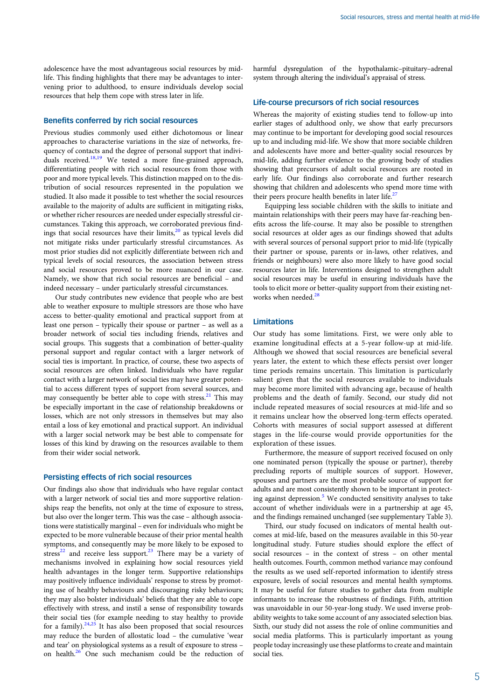adolescence have the most advantageous social resources by midlife. This finding highlights that there may be advantages to intervening prior to adulthood, to ensure individuals develop social resources that help them cope with stress later in life.

#### Benefits conferred by rich social resources

Previous studies commonly used either dichotomous or linear approaches to characterise variations in the size of networks, frequency of contacts and the degree of personal support that individuals received.<sup>18,19</sup> We tested a more fine-grained approach, differentiating people with rich social resources from those with poor and more typical levels. This distinction mapped on to the distribution of social resources represented in the population we studied. It also made it possible to test whether the social resources available to the majority of adults are sufficient in mitigating risks, or whether richer resources are needed under especially stressful circumstances. Taking this approach, we corroborated previous findings that social resources have their limits, $^{20}$  $^{20}$  $^{20}$  as typical levels did not mitigate risks under particularly stressful circumstances. As most prior studies did not explicitly differentiate between rich and typical levels of social resources, the association between stress and social resources proved to be more nuanced in our case. Namely, we show that rich social resources are beneficial – and indeed necessary – under particularly stressful circumstances.

Our study contributes new evidence that people who are best able to weather exposure to multiple stressors are those who have access to better-quality emotional and practical support from at least one person – typically their spouse or partner – as well as a broader network of social ties including friends, relatives and social groups. This suggests that a combination of better-quality personal support and regular contact with a larger network of social ties is important. In practice, of course, these two aspects of social resources are often linked. Individuals who have regular contact with a larger network of social ties may have greater potential to access different types of support from several sources, and may consequently be better able to cope with stress.<sup>[21](#page-6-0)</sup> This may be especially important in the case of relationship breakdowns or losses, which are not only stressors in themselves but may also entail a loss of key emotional and practical support. An individual with a larger social network may be best able to compensate for losses of this kind by drawing on the resources available to them from their wider social network.

# Persisting effects of rich social resources

Our findings also show that individuals who have regular contact with a larger network of social ties and more supportive relationships reap the benefits, not only at the time of exposure to stress, but also over the longer term. This was the case – although associations were statistically marginal – even for individuals who might be expected to be more vulnerable because of their prior mental health symptoms, and consequently may be more likely to be exposed to stress<sup>22</sup> and receive less support.<sup>[23](#page-6-0)</sup> There may be a variety of mechanisms involved in explaining how social resources yield health advantages in the longer term. Supportive relationships may positively influence individuals' response to stress by promoting use of healthy behaviours and discouraging risky behaviours; they may also bolster individuals' beliefs that they are able to cope effectively with stress, and instil a sense of responsibility towards their social ties (for example needing to stay healthy to provide for a family). $24,25$  It has also been proposed that social resources may reduce the burden of allostatic load – the cumulative 'wear and tear' on physiological systems as a result of exposure to stress – on health.[26](#page-6-0) One such mechanism could be the reduction of harmful dysregulation of the hypothalamic–pituitary–adrenal system through altering the individual's appraisal of stress.

# Life-course precursors of rich social resources

Whereas the majority of existing studies tend to follow-up into earlier stages of adulthood only, we show that early precursors may continue to be important for developing good social resources up to and including mid-life. We show that more sociable children and adolescents have more and better-quality social resources by mid-life, adding further evidence to the growing body of studies showing that precursors of adult social resources are rooted in early life. Our findings also corroborate and further research showing that children and adolescents who spend more time with their peers procure health benefits in later life. $2^{\circ}$ 

Equipping less sociable children with the skills to initiate and maintain relationships with their peers may have far-reaching benefits across the life-course. It may also be possible to strengthen social resources at older ages as our findings showed that adults with several sources of personal support prior to mid-life (typically their partner or spouse, parents or in-laws, other relatives, and friends or neighbours) were also more likely to have good social resources later in life. Interventions designed to strengthen adult social resources may be useful in ensuring individuals have the tools to elicit more or better-quality support from their existing net-works when needed.<sup>[28](#page-6-0)</sup>

# Limitations

Our study has some limitations. First, we were only able to examine longitudinal effects at a 5-year follow-up at mid-life. Although we showed that social resources are beneficial several years later, the extent to which these effects persist over longer time periods remains uncertain. This limitation is particularly salient given that the social resources available to individuals may become more limited with advancing age, because of health problems and the death of family. Second, our study did not include repeated measures of social resources at mid-life and so it remains unclear how the observed long-term effects operated. Cohorts with measures of social support assessed at different stages in the life-course would provide opportunities for the exploration of these issues.

Furthermore, the measure of support received focused on only one nominated person (typically the spouse or partner), thereby precluding reports of multiple sources of support. However, spouses and partners are the most probable source of support for adults and are most consistently shown to be important in protect-ing against depression.<sup>[5](#page-5-0)</sup> We conducted sensitivity analyses to take account of whether individuals were in a partnership at age 45, and the findings remained unchanged (see supplementary Table 3).

Third, our study focused on indicators of mental health outcomes at mid-life, based on the measures available in this 50-year longitudinal study. Future studies should explore the effect of social resources – in the context of stress – on other mental health outcomes. Fourth, common method variance may confound the results as we used self-reported information to identify stress exposure, levels of social resources and mental health symptoms. It may be useful for future studies to gather data from multiple informants to increase the robustness of findings. Fifth, attrition was unavoidable in our 50-year-long study. We used inverse probability weights to take some account of any associated selection bias. Sixth, our study did not assess the role of online communities and social media platforms. This is particularly important as young people today increasingly use these platforms to create and maintain social ties.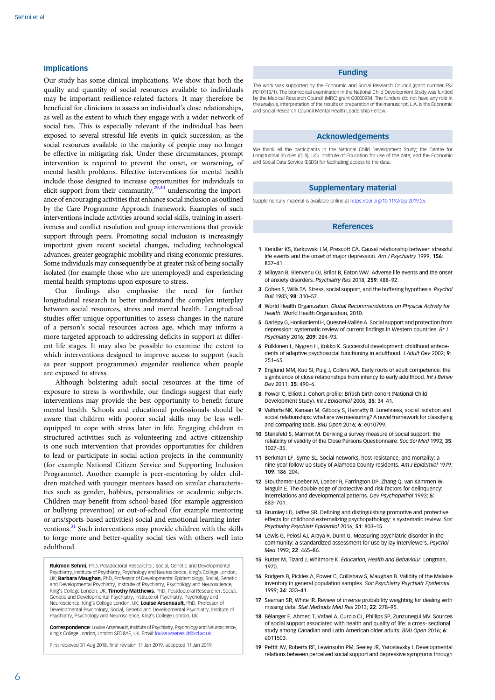# <span id="page-5-0"></span>Implications

Our study has some clinical implications. We show that both the quality and quantity of social resources available to individuals may be important resilience-related factors. It may therefore be beneficial for clinicians to assess an individual's close relationships, as well as the extent to which they engage with a wider network of social ties. This is especially relevant if the individual has been exposed to several stressful life events in quick succession, as the social resources available to the majority of people may no longer be effective in mitigating risk. Under these circumstances, prompt intervention is required to prevent the onset, or worsening, of mental health problems. Effective interventions for mental health include those designed to increase opportunities for individuals to elicit support from their community,<sup>[29,30](#page-6-0)</sup> underscoring the importance of encouraging activities that enhance social inclusion as outlined by the Care Programme Approach framework. Examples of such interventions include activities around social skills, training in assertiveness and conflict resolution and group interventions that provide support through peers. Promoting social inclusion is increasingly important given recent societal changes, including technological advances, greater geographic mobility and rising economic pressures. Some individuals may consequently be at greater risk of being socially isolated (for example those who are unemployed) and experiencing mental health symptoms upon exposure to stress.

Our findings also emphasise the need for further longitudinal research to better understand the complex interplay between social resources, stress and mental health. Longitudinal studies offer unique opportunities to assess changes in the nature of a person's social resources across age, which may inform a more targeted approach to addressing deficits in support at different life stages. It may also be possible to examine the extent to which interventions designed to improve access to support (such as peer support programmes) engender resilience when people are exposed to stress.

Although bolstering adult social resources at the time of exposure to stress is worthwhile, our findings suggest that early interventions may provide the best opportunity to benefit future mental health. Schools and educational professionals should be aware that children with poorer social skills may be less wellequipped to cope with stress later in life. Engaging children in structured activities such as volunteering and active citizenship is one such intervention that provides opportunities for children to lead or participate in social action projects in the community (for example National Citizen Service and Supporting Inclusion Programme). Another example is peer-mentoring by older children matched with younger mentees based on similar characteristics such as gender, hobbies, personalities or academic subjects. Children may benefit from school-based (for example aggression or bullying prevention) or out-of-school (for example mentoring or arts/sports-based activities) social and emotional learning inter-ventions.<sup>[31](#page-6-0)</sup> Such interventions may provide children with the skills to forge more and better-quality social ties with others well into adulthood.

Rukmen Sehmi, PhD, Postdoctoral Researcher, Social, Genetic and Developmental Psychiatry, Institute of Psychiatry, Psychology and Neuroscience, King's College London, UK; Barbara Maughan, PhD, Professor of Developmental Epidemiology, Social, Genetic and Developmental Psychiatry, Institute of Psychiatry, Psychology and Neuroscience,<br>King's College London, UK; **Timothy Matthews**, PhD, Postdoctoral Researcher, Social, Genetic and Developmental Psychiatry, Institute of Psychiatry, Psychology and Neuroscience, King's College London, UK; **Louise Arseneault**, PhD, Professor of<br>Developmental Psychology, Social, Genetic and Developmental Psychiatry, Institute of Psychiatry, Psychology and Neuroscience, King's College London, UK

Correspondence: Louise Arseneault, Institute of Psychiatry, Psychology and Neuroscience, King's College London, London SE5 8AF, UK. Email: louise.arseneault@

First received 31 Aug 2018, final revision 11 Jan 2019, accepted 11 Jan 2019

#### Funding

The work was supported by the Economic and Social Research Council (grant number ES/ P010113/1). The biomedical examination in the National Child Development Study was funded by the Medical Research Council (MRC) grant G0000934. The funders did not have any role in the analysis, interpretation of the results or preparation of the manuscript. L.A. is the Economic and Social Research Council Mental Health Leadership Fellow.

# Acknowledgements

We thank all the participants in the National Child Development Study; the Centre for Longitudinal Studies (CLS), UCL Institute of Education for use of the data; and the Economic and Social Data Service (ESDS) for facilitating access to the data.

# Supplementary material

Supplementary material is available online at https://doi.org/10.1192/bip.2019.25.

#### References

- 1 Kendler KS, Karkowski LM, Prescott CA. Causal relationship between stressful life events and the onset of major depression. Am J Psychiatry 1999; 156: 837–41.
- 2 Miloyan B, Bienvenu OJ, Brilot B, Eaton WW. Adverse life events and the onset of anxiety disorders. Psychiatry Res 2018; 259: 488–92.
- 3 Cohen S, Wills TA. Stress, social support, and the buffering hypothesis. Psychol Bull 1985; 98: 310–57.
- 4 World Health Organization. Global Recommendations on Physical Activity for Health. World Health Organization, 2010.
- 5 Gariépy G, Honkaniemi H, Quesnel-Vallée A. Social support and protection from depression: systematic review of current findings in Western countries. Br J Psychiatry 2016; 209: 284–93.
- 6 Pulkkinen L, Nygren H, Kokko K. Successful development: childhood antecedents of adaptive psychosocial functioning in adulthood. J Adult Dev 2002; 9: 251–65.
- 7 Englund MM, Kuo SI, Puig J, Collins WA. Early roots of adult competence: the significance of close relationships from infancy to early adulthood. Int J Behav Dev 2011; 35: 490–6.
- 8 Power C, Elliott J. Cohort profile: British birth cohort (National Child Development Study). Int J Epidemiol 2006; 35: 34–41.
- 9 Valtorta NK, Kanaan M, Gilbody S, Hanratty B. Loneliness, social isolation and social relationships: what are we measuring? A novel framework for classifying and comparing tools. BMJ Open 2016; 6: e010799.
- 10 Stansfeld S, Marmot M. Deriving a survey measure of social support: the reliability of validity of the Close Persons Questionnaire. Soc Sci Med 1992; 35: 1027–35.
- 11 Berkman LF, Syme SL. Social networks, host resistance, and mortality: a nine-year follow-up study of Alameda County residents. Am J Epidemiol 1979; 109: 186–204.
- 12 Stouthamer-Loeber M, Loeber R, Farrington DP, Zhang Q, van Kammen W, Maguin E. The double edge of protective and risk factors for delinquency: interrelations and developmental patterns. Dev Psychopathol 1993; 5: 683–701.
- 13 Brumley LD, Jaffee SR. Defining and distinguishing promotive and protective effects for childhood externalizing psychopathology: a systematic review. Soc Psychiatry Psychiatr Epidemiol 2016; 51: 803–15.
- 14 Lewis G, Pelosi AJ, Araya R, Dunn G. Measuring psychiatric disorder in the community: a standardized assessment for use by lay interviewers. Psychol Med 1992; 22: 465–86.
- 15 Rutter M, Tizard J, Whitmore K. Education, Health and Behaviour. Longman 1970.
- 16 Rodgers B, Pickles A, Power C, Collishaw S, Maughan B. Validity of the Malaise Inventory in general population samples. Soc Psychiatry Psychiatr Epidemiol 1999; 34: 333–41.
- 17 Seaman SR, White IR. Review of inverse probability weighting for dealing with missing data. Stat Methods Med Res 2013; 22: 278–95.
- 18 Bélanger E, Ahmed T, Vafaei A, Curcio CL, Phillips SP, Zunzunegui MV. Sources of social support associated with health and quality of life: a cross- sectional study among Canadian and Latin American older adults. BMJ Open 2016; 6: e011503.
- 19 Pettit JW, Roberts RE, Lewinsohn PM, Seeley JR, Yaroslavsky I. Developmental relations between perceived social support and depressive symptoms through